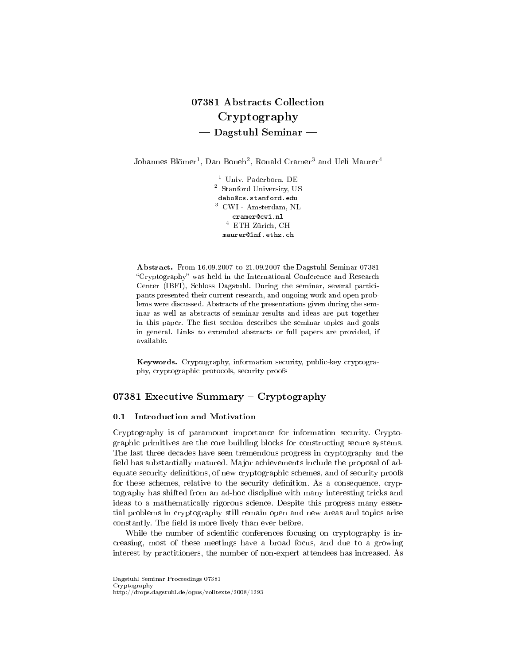# 07381 Abstracts Collection Cryptography  $-$  Dagstuhl Seminar  $-$

Johannes Blömer<sup>1</sup>, Dan Boneh<sup>2</sup>, Ronald Cramer<sup>3</sup> and Ueli Maurer<sup>4</sup>

<sup>1</sup> Univ. Paderborn, DE <sup>2</sup> Stanford University, US dabo@cs.stanford.edu  $^3$  CWI - Amsterdam,  $\rm NL$ cramer@cwi.nl  $^4\,$  ETH Zürich, CH maurer@inf.ethz.ch

Abstract. From 16.09.2007 to 21.09.2007 the Dagstuhl Seminar 07381 "Cryptography" was held in the International Conference and Research Center (IBFI), Schloss Dagstuhl. During the seminar, several participants presented their current research, and ongoing work and open problems were discussed. Abstracts of the presentations given during the seminar as well as abstracts of seminar results and ideas are put together in this paper. The first section describes the seminar topics and goals in general. Links to extended abstracts or full papers are provided, if available.

Keywords. Cryptography, information security, public-key cryptography, cryptographic protocols, security proofs

### 07381 Executive Summary  $-$  Cryptography

### 0.1 Introduction and Motivation

Cryptography is of paramount importance for information security. Cryptographic primitives are the core building blocks for constructing secure systems. The last three decades have seen tremendous progress in cryptography and the field has substantially matured. Major achievements include the proposal of adequate security definitions, of new cryptographic schemes, and of security proofs for these schemes, relative to the security definition. As a consequence, cryptography has shifted from an ad-hoc discipline with many interesting tricks and ideas to a mathematically rigorous science. Despite this progress many essential problems in cryptography still remain open and new areas and topics arise constantly. The field is more lively than ever before.

While the number of scientific conferences focusing on cryptography is increasing, most of these meetings have a broad focus, and due to a growing interest by practitioners, the number of non-expert attendees has increased. As

Dagstuhl Seminar Proceedings 07381 Cryptography http://drops.dagstuhl.de/opus/volltexte/2008/1293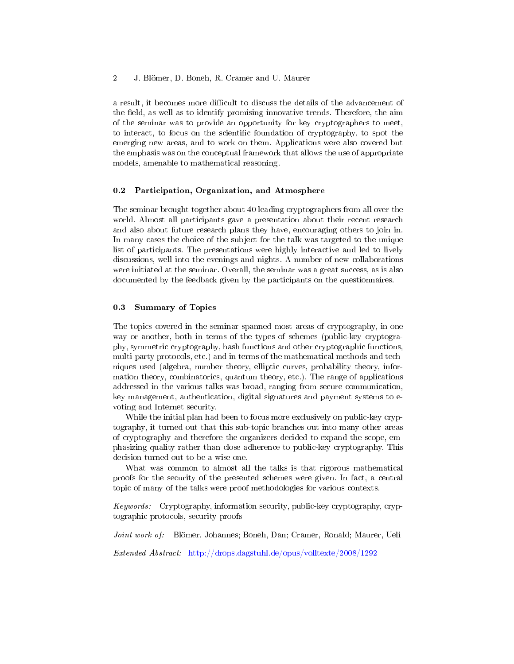a result, it becomes more difficult to discuss the details of the advancement of the field, as well as to identify promising innovative trends. Therefore, the aim of the seminar was to provide an opportunity for key cryptographers to meet, to interact, to focus on the scientic foundation of cryptography, to spot the emerging new areas, and to work on them. Applications were also covered but the emphasis was on the conceptual framework that allows the use of appropriate models, amenable to mathematical reasoning.

#### 0.2 Participation, Organization, and Atmosphere

The seminar brought together about 40 leading cryptographers from all over the world. Almost all participants gave a presentation about their recent research and also about future research plans they have, encouraging others to join in. In many cases the choice of the subject for the talk was targeted to the unique list of participants. The presentations were highly interactive and led to lively discussions, well into the evenings and nights. A number of new collaborations were initiated at the seminar. Overall, the seminar was a great success, as is also documented by the feedback given by the participants on the questionnaires.

#### 0.3 Summary of Topics

The topics covered in the seminar spanned most areas of cryptography, in one way or another, both in terms of the types of schemes (public-key cryptography, symmetric cryptography, hash functions and other cryptographic functions, multi-party protocols, etc.) and in terms of the mathematical methods and techniques used (algebra, number theory, elliptic curves, probability theory, information theory, combinatorics, quantum theory, etc.). The range of applications addressed in the various talks was broad, ranging from secure communication, key management, authentication, digital signatures and payment systems to evoting and Internet security.

While the initial plan had been to focus more exclusively on public-key cryptography, it turned out that this sub-topic branches out into many other areas of cryptography and therefore the organizers decided to expand the scope, emphasizing quality rather than close adherence to public-key cryptography. This decision turned out to be a wise one.

What was common to almost all the talks is that rigorous mathematical proofs for the security of the presented schemes were given. In fact, a central topic of many of the talks were proof methodologies for various contexts.

Keywords: Cryptography, information security, public-key cryptography, cryptographic protocols, security proofs

Joint work of: Blömer, Johannes; Boneh, Dan; Cramer, Ronald; Maurer, Ueli

Extended Abstract: <http://drops.dagstuhl.de/opus/volltexte/2008/1292>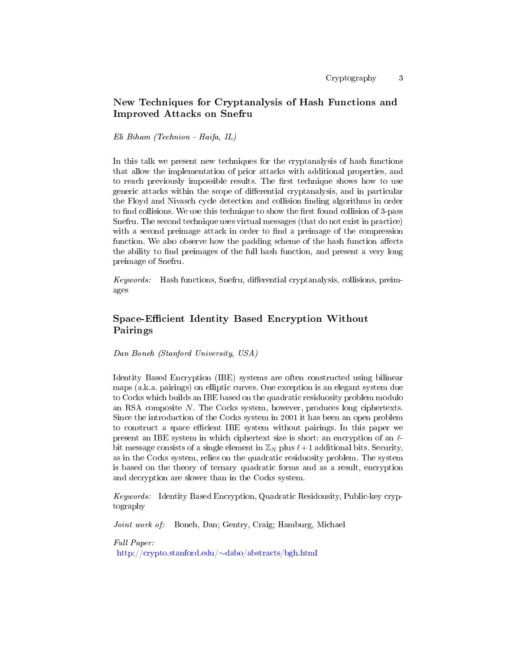# New Techniques for Cryptanalysis of Hash Functions and Improved Attacks on Snefru

#### Eli Biham (Technion - Haifa, IL)

In this talk we present new techniques for the cryptanalysis of hash functions that allow the implementation of prior attacks with additional properties, and to reach previously impossible results. The first technique shows how to use generic attacks within the scope of differential cryptanalysis, and in particular the Floyd and Nivasch cycle detection and collision finding algorithms in order to find collisions. We use this technique to show the first found collision of 3-pass Snefru. The second technique uses virtual messages (that do not exist in practice) with a second preimage attack in order to find a preimage of the compression function. We also observe how the padding scheme of the hash function affects the ability to find preimages of the full hash function, and present a very long preimage of Snefru.

 $Keywords:$  Hash functions, Snefru, differential cryptanalysis, collisions, preimages

# Space-Efficient Identity Based Encryption Without Pairings

Dan Boneh (Stanford University, USA)

Identity Based Encryption (IBE) systems are often constructed using bilinear maps (a.k.a. pairings) on elliptic curves. One exception is an elegant system due to Cocks which builds an IBE based on the quadratic residuosity problem modulo an RSA composite N. The Cocks system, however, produces long ciphertexts. Since the introduction of the Cocks system in 2001 it has been an open problem to construct a space efficient IBE system without pairings. In this paper we present an IBE system in which ciphertext size is short: an encryption of an  $\ell$ bit message consists of a single element in  $\mathbb{Z}_N$  plus  $\ell + 1$  additional bits. Security, as in the Cocks system, relies on the quadratic residuosity problem. The system is based on the theory of ternary quadratic forms and as a result, encryption and decryption are slower than in the Cocks system.

Keywords: Identity Based Encryption, Quadratic Residousity, Public-key cryptography

Joint work of: Boneh, Dan; Gentry, Craig; Hamburg, Michael

Full Paper: [http://crypto.stanford.edu/](http://crypto.stanford.edu/~dabo/abstracts/bgh.html)∼dabo/abstracts/bgh.html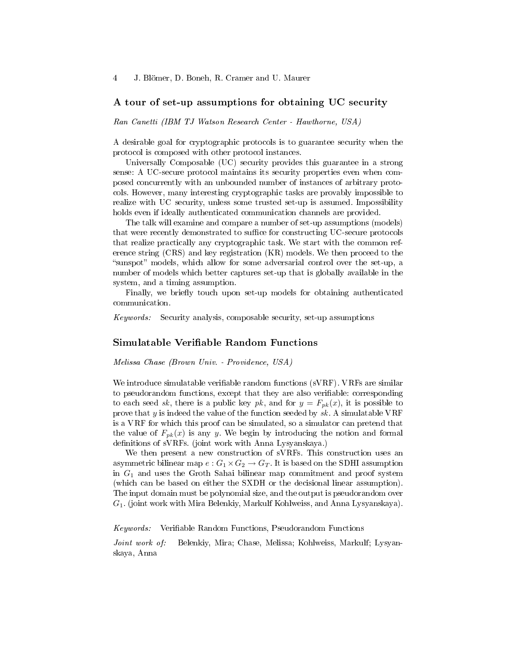#### A tour of set-up assumptions for obtaining UC security

Ran Canetti (IBM TJ Watson Research Center - Hawthorne, USA)

A desirable goal for cryptographic protocols is to guarantee security when the protocol is composed with other protocol instances.

Universally Composable (UC) security provides this guarantee in a strong sense: A UC-secure protocol maintains its security properties even when composed concurrently with an unbounded number of instances of arbitrary protocols. However, many interesting cryptographic tasks are provably impossible to realize with UC security, unless some trusted set-up is assumed. Impossibility holds even if ideally authenticated communication channels are provided.

The talk will examine and compare a number of set-up assumptions (models) that were recently demonstrated to suffice for constructing UC-secure protocols that realize practically any cryptographic task. We start with the common reference string (CRS) and key registration (KR) models. We then proceed to the "sunspot" models, which allow for some adversarial control over the set-up, a number of models which better captures set-up that is globally available in the system, and a timing assumption.

Finally, we briefly touch upon set-up models for obtaining authenticated communication.

Keywords: Security analysis, composable security, set-up assumptions

#### Simulatable Verifiable Random Functions

Melissa Chase (Brown Univ. - Providence, USA)

We introduce simulatable verifiable random functions (sVRF). VRFs are similar to pseudorandom functions, except that they are also veriable: corresponding to each seed sk, there is a public key pk, and for  $y = F_{pk}(x)$ , it is possible to prove that y is indeed the value of the function seeded by  $sk$ . A simulatable VRF is a VRF for which this proof can be simulated, so a simulator can pretend that the value of  $F_{pk}(x)$  is any y. We begin by introducing the notion and formal definitions of sVRFs. (joint work with Anna Lysyanskaya.)

We then present a new construction of sVRFs. This construction uses an asymmetric bilinear map  $e: G_1 \times G_2 \to G_T$ . It is based on the SDHI assumption in  $G_1$  and uses the Groth Sahai bilinear map commitment and proof system (which can be based on either the SXDH or the decisional linear assumption). The input domain must be polynomial size, and the output is pseudorandom over G1. (joint work with Mira Belenkiy, Markulf Kohlweiss, and Anna Lysyanskaya).

Keywords: Verifiable Random Functions, Pseudorandom Functions

Joint work of: Belenkiy, Mira; Chase, Melissa; Kohlweiss, Markulf; Lysyanskaya, Anna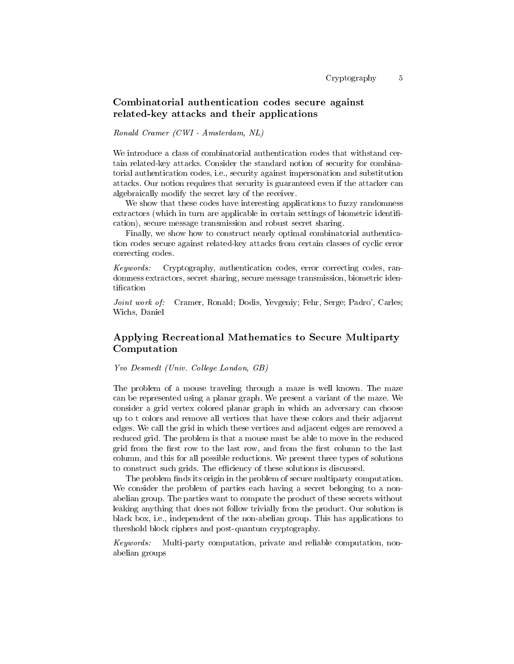### Combinatorial authentication codes secure against related-key attacks and their applications

Ronald Cramer (CWI - Amsterdam, NL)

We introduce a class of combinatorial authentication codes that withstand certain related-key attacks. Consider the standard notion of security for combinatorial authentication codes, i.e., security against impersonation and substitution attacks. Our notion requires that security is guaranteed even if the attacker can algebraically modify the secret key of the receiver.

We show that these codes have interesting applications to fuzzy randomness extractors (which in turn are applicable in certain settings of biometric identification), secure message transmission and robust secret sharing.

Finally, we show how to construct nearly optimal combinatorial authentication codes secure against related-key attacks from certain classes of cyclic error correcting codes.

Keywords: Cryptography, authentication codes, error correcting codes, randomness extractors, secret sharing, secure message transmission, biometric identification

Joint work of: Cramer, Ronald; Dodis, Yevgeniy; Fehr, Serge; Padro', Carles; Wichs, Daniel

# Applying Recreational Mathematics to Secure Multiparty Computation

Yvo Desmedt (Univ. College London, GB)

The problem of a mouse traveling through a maze is well known. The maze can be represented using a planar graph. We present a variant of the maze. We consider a grid vertex colored planar graph in which an adversary can choose up to t colors and remove all vertices that have these colors and their adjacent edges. We call the grid in which these vertices and adjacent edges are removed a reduced grid. The problem is that a mouse must be able to move in the reduced grid from the first row to the last row, and from the first column to the last column, and this for all possible reductions. We present three types of solutions to construct such grids. The efficiency of these solutions is discussed.

The problem finds its origin in the problem of secure multiparty computation. We consider the problem of parties each having a secret belonging to a nonabelian group. The parties want to compute the product of these secrets without leaking anything that does not follow trivially from the product. Our solution is black box, i.e., independent of the non-abelian group. This has applications to threshold block ciphers and post-quantum cryptography.

Keywords: Multi-party computation, private and reliable computation, nonabelian groups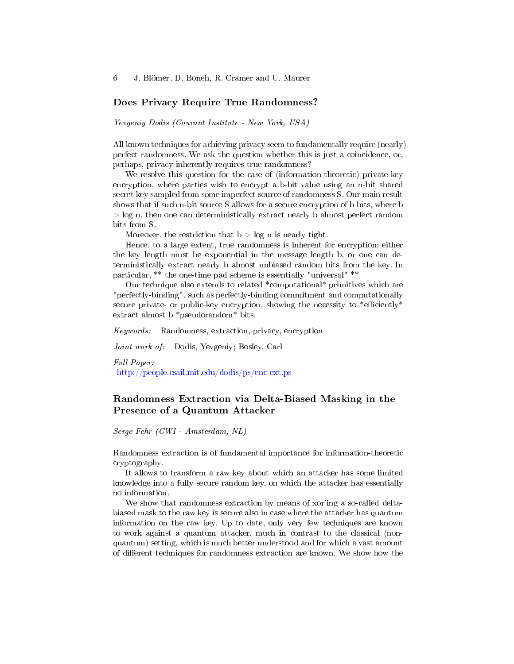#### Does Privacy Require True Randomness?

Yevgeniy Dodis (Courant Institute - New York, USA)

All known techniques for achieving privacy seem to fundamentally require (nearly) perfect randomness. We ask the question whether this is just a coincidence, or, perhaps, privacy inherently requires true randomness?

We resolve this question for the case of (information-theoretic) private-key encryption, where parties wish to encrypt a b-bit value using an n-bit shared secret key sampled from some imperfect source of randomness S. Our main result shows that if such n-bit source S allows for a secure encryption of b bits, where b > log n, then one can deterministically extract nearly b almost perfect random bits from S.

Moreover, the restriction that  $b > log n$  is nearly tight.

Hence, to a large extent, true randomness is inherent for encryption: either the key length must be exponential in the message length b, or one can deterministically extract nearly b almost unbiased random bits from the key. In particular, \*\* the one-time pad scheme is essentially "universal" \*\*

Our technique also extends to related \*computational\* primitives which are "perfectly-binding", such as perfectly-binding commitment and computationally secure private- or public-key encryption, showing the necessity to  $*$ efficiently $*$ extract almost b \*pseudorandom\* bits.

Keywords: Randomness, extraction, privacy, encryption

Joint work of: Dodis, Yevgeniy; Bosley, Carl

Full Paper: <http://people.csail.mit.edu/dodis/ps/enc-ext.ps>

# Randomness Extraction via Delta-Biased Masking in the Presence of a Quantum Attacker

Serge Fehr (CWI - Amsterdam, NL)

Randomness extraction is of fundamental importance for information-theoretic cryptography.

It allows to transform a raw key about which an attacker has some limited knowledge into a fully secure random key, on which the attacker has essentially no information.

We show that randomness extraction by means of xor'ing a so-called deltabiased mask to the raw key is secure also in case where the attacker has quantum information on the raw key. Up to date, only very few techniques are known to work against a quantum attacker, much in contrast to the classical (nonquantum) setting, which is much better understood and for which a vast amount of different techniques for randomness extraction are known. We show how the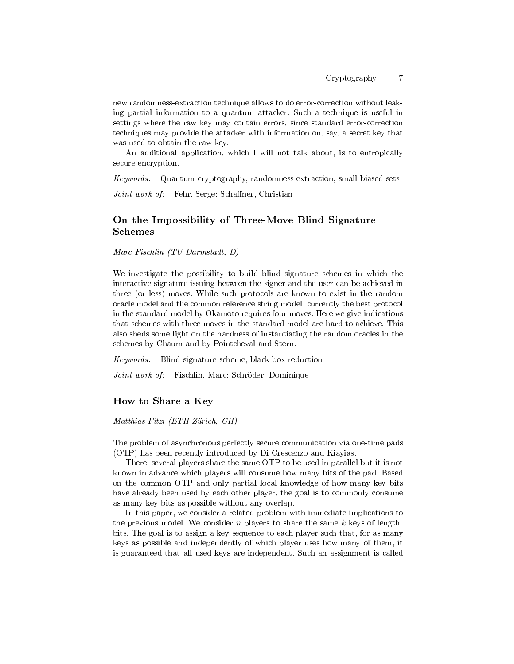new randomness-extraction technique allows to do error-correction without leaking partial information to a quantum attacker. Such a technique is useful in settings where the raw key may contain errors, since standard error-correction techniques may provide the attacker with information on, say, a secret key that was used to obtain the raw key.

An additional application, which I will not talk about, is to entropically secure encryption.

Keywords: Quantum cryptography, randomness extraction, small-biased sets

Joint work of: Fehr, Serge; Schaffner, Christian

### On the Impossibility of Three-Move Blind Signature Schemes

Marc Fischlin (TU Darmstadt, D)

We investigate the possibility to build blind signature schemes in which the interactive signature issuing between the signer and the user can be achieved in three (or less) moves. While such protocols are known to exist in the random oracle model and the common reference string model, currently the best protocol in the standard model by Okamoto requires four moves. Here we give indications that schemes with three moves in the standard model are hard to achieve. This also sheds some light on the hardness of instantiating the random oracles in the schemes by Chaum and by Pointcheval and Stern.

Keywords: Blind signature scheme, black-box reduction

Joint work of: Fischlin, Marc; Schröder, Dominique

### How to Share a Key

Matthias Fitzi (ETH Zürich, CH)

The problem of asynchronous perfectly secure communication via one-time pads (OTP) has been recently introduced by Di Crescenzo and Kiayias.

There, several players share the same OTP to be used in parallel but it is not known in advance which players will consume how many bits of the pad. Based on the common OTP and only partial local knowledge of how many key bits have already been used by each other player, the goal is to commonly consume as many key bits as possible without any overlap.

In this paper, we consider a related problem with immediate implications to the previous model. We consider n players to share the same  $k$  keys of length bits. The goal is to assign a key sequence to each player such that, for as many keys as possible and independently of which player uses how many of them, it is guaranteed that all used keys are independent. Such an assignment is called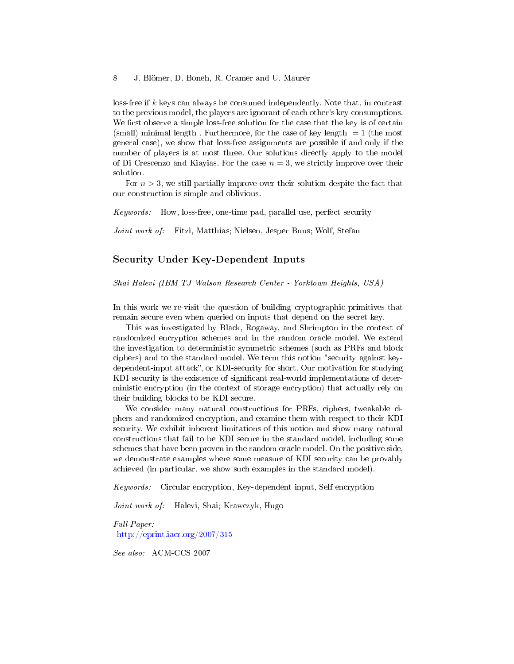loss-free if  $k$  keys can always be consumed independently. Note that, in contrast to the previous model, the players are ignorant of each other's key consumptions. We first observe a simple loss-free solution for the case that the key is of certain (small) minimal length. Furthermore, for the case of key length  $= 1$  (the most general case), we show that loss-free assignments are possible if and only if the number of players is at most three. Our solutions directly apply to the model of Di Crescenzo and Kiayias. For the case  $n = 3$ , we strictly improve over their solution.

For  $n > 3$ , we still partially improve over their solution despite the fact that our construction is simple and oblivious.

Keywords: How, loss-free, one-time pad, parallel use, perfect security

Joint work of: Fitzi, Matthias; Nielsen, Jesper Buus; Wolf, Stefan

### Security Under Key-Dependent Inputs

Shai Halevi (IBM TJ Watson Research Center - Yorktown Heights, USA)

In this work we re-visit the question of building cryptographic primitives that remain secure even when queried on inputs that depend on the secret key.

This was investigated by Black, Rogaway, and Shrimpton in the context of randomized encryption schemes and in the random oracle model. We extend the investigation to deterministic symmetric schemes (such as PRFs and block ciphers) and to the standard model. We term this notion "security against keydependent-input attack", or KDI-security for short. Our motivation for studying KDI security is the existence of significant real-world implementations of deterministic encryption (in the context of storage encryption) that actually rely on their building blocks to be KDI secure.

We consider many natural constructions for PRFs, ciphers, tweakable ciphers and randomized encryption, and examine them with respect to their KDI security. We exhibit inherent limitations of this notion and show many natural constructions that fail to be KDI secure in the standard model, including some schemes that have been proven in the random oracle model. On the positive side, we demonstrate examples where some measure of KDI security can be provably achieved (in particular, we show such examples in the standard model).

Keywords: Circular encryption, Key-dependent input, Self encryption

Joint work of: Halevi, Shai; Krawczyk, Hugo

Full Paper: <http://eprint.iacr.org/2007/315>

See also: ACM-CCS 2007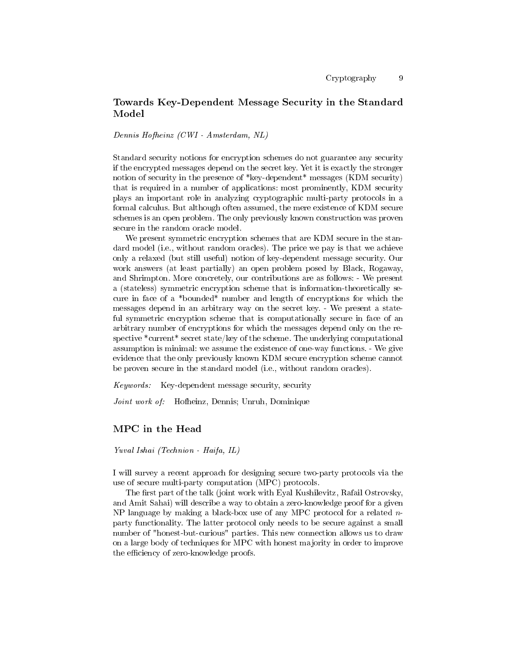# Towards Key-Dependent Message Security in the Standard Model

Dennis Hofheinz (CWI - Amsterdam, NL)

Standard security notions for encryption schemes do not guarantee any security if the encrypted messages depend on the secret key. Yet it is exactly the stronger notion of security in the presence of \*key-dependent\* messages (KDM security) that is required in a number of applications: most prominently, KDM security plays an important role in analyzing cryptographic multi-party protocols in a formal calculus. But although often assumed, the mere existence of KDM secure schemes is an open problem. The only previously known construction was proven secure in the random oracle model.

We present symmetric encryption schemes that are KDM secure in the standard model (i.e., without random oracles). The price we pay is that we achieve only a relaxed (but still useful) notion of key-dependent message security. Our work answers (at least partially) an open problem posed by Black, Rogaway, and Shrimpton. More concretely, our contributions are as follows: - We present a (stateless) symmetric encryption scheme that is information-theoretically secure in face of a \*bounded\* number and length of encryptions for which the messages depend in an arbitrary way on the secret key. - We present a stateful symmetric encryption scheme that is computationally secure in face of an arbitrary number of encryptions for which the messages depend only on the respective  $\alpha$  secret state/key of the scheme. The underlying computational assumption is minimal: we assume the existence of one-way functions. - We give evidence that the only previously known KDM secure encryption scheme cannot be proven secure in the standard model (i.e., without random oracles).

Keywords: Key-dependent message security, security

Joint work of: Hofheinz, Dennis; Unruh, Dominique

### MPC in the Head

Yuval Ishai (Technion - Haifa, IL)

I will survey a recent approach for designing secure two-party protocols via the use of secure multi-party computation (MPC) protocols.

The first part of the talk (joint work with Eyal Kushilevitz, Rafail Ostrovsky, and Amit Sahai) will describe a way to obtain a zero-knowledge proof for a given NP language by making a black-box use of any MPC protocol for a related  $n$ party functionality. The latter protocol only needs to be secure against a small number of "honest-but-curious" parties. This new connection allows us to draw on a large body of techniques for MPC with honest majority in order to improve the efficiency of zero-knowledge proofs.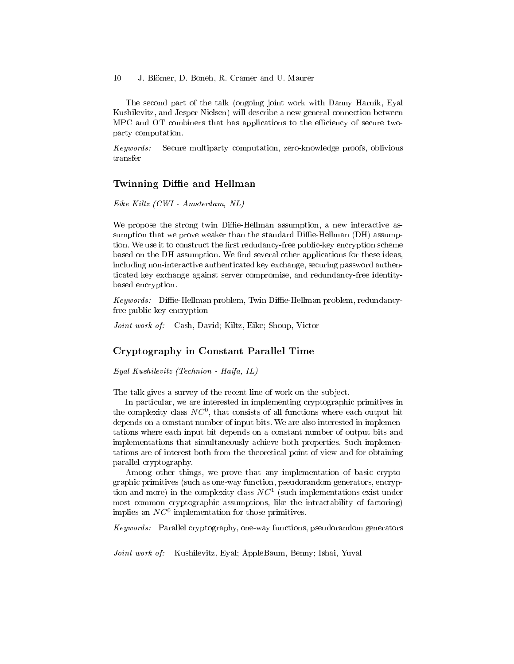The second part of the talk (ongoing joint work with Danny Harnik, Eyal Kushilevitz, and Jesper Nielsen) will describe a new general connection between MPC and OT combiners that has applications to the efficiency of secure twoparty computation.

Keywords: Secure multiparty computation, zero-knowledge proofs, oblivious transfer

### Twinning Diffie and Hellman

Eike Kiltz (CWI - Amsterdam, NL)

We propose the strong twin Diffie-Hellman assumption, a new interactive assumption that we prove weaker than the standard  $\text{Diffie-Hellman (DH) assumption}$ tion. We use it to construct the first redudancy-free public-key encryption scheme based on the DH assumption. We find several other applications for these ideas, including non-interactive authenticated key exchange, securing password authenticated key exchange against server compromise, and redundancy-free identitybased encryption.

 $Keywords:$  Diffie-Hellman problem, Twin Diffie-Hellman problem, redundancyfree public-key encryption

Joint work of: Cash, David; Kiltz, Eike; Shoup, Victor

#### Cryptography in Constant Parallel Time

Eyal Kushilevitz (Technion - Haifa, IL)

The talk gives a survey of the recent line of work on the subject.

In particular, we are interested in implementing cryptographic primitives in the complexity class  $NC^0$ , that consists of all functions where each output bit depends on a constant number of input bits. We are also interested in implementations where each input bit depends on a constant number of output bits and implementations that simultaneously achieve both properties. Such implementations are of interest both from the theoretical point of view and for obtaining parallel cryptography.

Among other things, we prove that any implementation of basic cryptographic primitives (such as one-way function, pseudorandom generators, encryption and more) in the complexity class  $NC^1$  (such implementations exist under most common cryptographic assumptions, like the intractability of factoring) implies an  $NC^0$  implementation for those primitives.

Keywords: Parallel cryptography, one-way functions, pseudorandom generators

Joint work of: Kushilevitz, Eyal; AppleBaum, Benny; Ishai, Yuval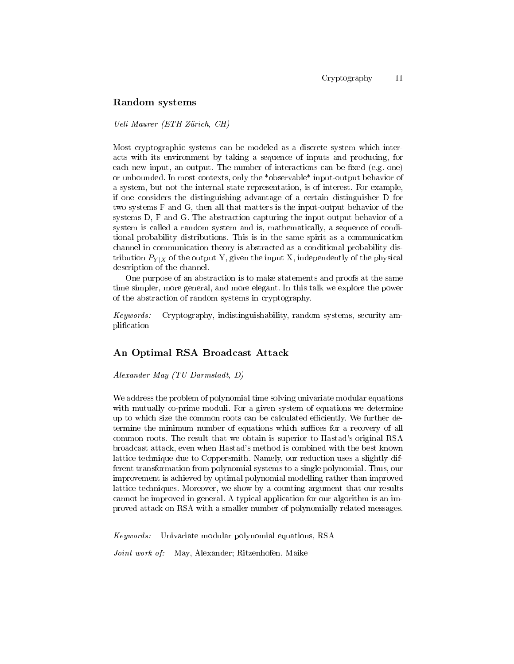### Random systems

Ueli Maurer (ETH Zürich, CH)

Most cryptographic systems can be modeled as a discrete system which interacts with its environment by taking a sequence of inputs and producing, for each new input, an output. The number of interactions can be fixed (e.g. one) or unbounded. In most contexts, only the \*observable\* input-output behavior of a system, but not the internal state representation, is of interest. For example, if one considers the distinguishing advantage of a certain distinguisher D for two systems F and G, then all that matters is the input-output behavior of the systems D, F and G. The abstraction capturing the input-output behavior of a system is called a random system and is, mathematically, a sequence of conditional probability distributions. This is in the same spirit as a communication channel in communication theory is abstracted as a conditional probability distribution  $P_{Y|X}$  of the output Y, given the input X, independently of the physical description of the channel.

One purpose of an abstraction is to make statements and proofs at the same time simpler, more general, and more elegant. In this talk we explore the power of the abstraction of random systems in cryptography.

Keywords: Cryptography, indistinguishability, random systems, security amplication

### An Optimal RSA Broadcast Attack

Alexander May (TU Darmstadt, D)

We address the problem of polynomial time solving univariate modular equations with mutually co-prime moduli. For a given system of equations we determine up to which size the common roots can be calculated efficiently. We further determine the minimum number of equations which suffices for a recovery of all common roots. The result that we obtain is superior to Hastad's original RSA broadcast attack, even when Hastad's method is combined with the best known lattice technique due to Coppersmith. Namely, our reduction uses a slightly different transformation from polynomial systems to a single polynomial. Thus, our improvement is achieved by optimal polynomial modelling rather than improved lattice techniques. Moreover, we show by a counting argument that our results cannot be improved in general. A typical application for our algorithm is an improved attack on RSA with a smaller number of polynomially related messages.

Keywords: Univariate modular polynomial equations, RSA

Joint work of: May, Alexander; Ritzenhofen, Maike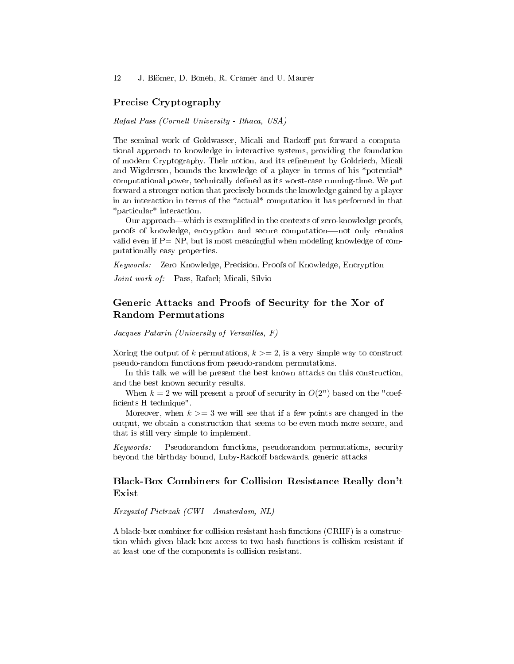### Precise Cryptography

#### Rafael Pass (Cornell University - Ithaca, USA)

The seminal work of Goldwasser, Micali and Rackoff put forward a computational approach to knowledge in interactive systems, providing the foundation of modern Cryptography. Their notion, and its refinement by Goldriech, Micali and Wigderson, bounds the knowledge of a player in terms of his \*potential\* computational power, technically defined as its worst-case running-time. We put forward a stronger notion that precisely bounds the knowledge gained by a player in an interaction in terms of the \*actual\* computation it has performed in that \*particular\* interaction.

Our approach—which is exemplified in the contexts of zero-knowledge proofs, proofs of knowledge, encryption and secure computation-not only remains valid even if  $P = NP$ , but is most meaningful when modeling knowledge of computationally easy properties.

Keywords: Zero Knowledge, Precision, Proofs of Knowledge, Encryption

Joint work of: Pass, Rafael; Micali, Silvio

# Generic Attacks and Proofs of Security for the Xor of Random Permutations

#### Jacques Patarin (University of Versailles, F)

Xoring the output of k permutations,  $k \geq 2$ , is a very simple way to construct pseudo-random functions from pseudo-random permutations.

In this talk we will be present the best known attacks on this construction, and the best known security results.

When  $k = 2$  we will present a proof of security in  $O(2^n)$  based on the "coefficients H technique".

Moreover, when  $k >= 3$  we will see that if a few points are changed in the output, we obtain a construction that seems to be even much more secure, and that is still very simple to implement.

Keywords: Pseudorandom functions, pseudorandom permutations, security beyond the birthday bound, Luby-Rackoff backwards, generic attacks

### Black-Box Combiners for Collision Resistance Really don't Exist

### Krzysztof Pietrzak (CWI - Amsterdam, NL)

A black-box combiner for collision resistant hash functions (CRHF) is a construction which given black-box access to two hash functions is collision resistant if at least one of the components is collision resistant.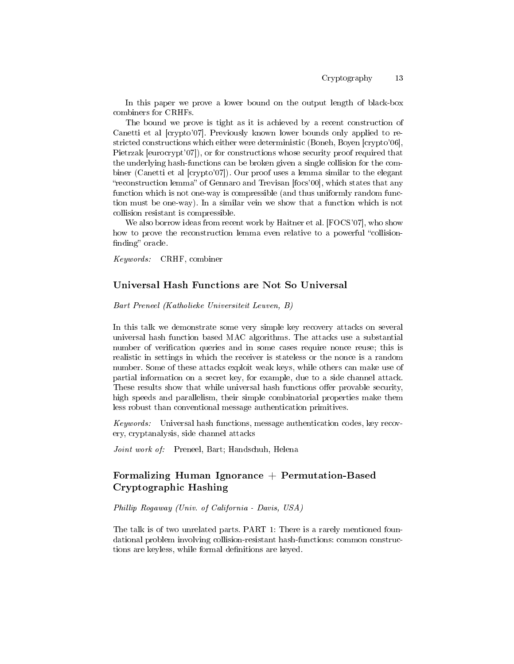In this paper we prove a lower bound on the output length of black-box combiners for CRHFs.

The bound we prove is tight as it is achieved by a recent construction of Canetti et al [crypto'07]. Previously known lower bounds only applied to restricted constructions which either were deterministic (Boneh, Boyen [crypto'06], Pietrzak [eurocrypt'07]), or for constructions whose security proof required that the underlying hash-functions can be broken given a single collision for the combiner (Canetti et al [crypto'07]). Our proof uses a lemma similar to the elegant "reconstruction lemma" of Gennaro and Trevisan [focs'00], which states that any function which is not one-way is compressible (and thus uniformly random function must be one-way). In a similar vein we show that a function which is not collision resistant is compressible.

We also borrow ideas from recent work by Haitner et al. [FOCS'07], who show how to prove the reconstruction lemma even relative to a powerful "collisionfinding" oracle.

Keywords: CRHF, combiner

### Universal Hash Functions are Not So Universal

Bart Preneel (Katholieke Universiteit Leuven, B)

In this talk we demonstrate some very simple key recovery attacks on several universal hash function based MAC algorithms. The attacks use a substantial number of verification queries and in some cases require nonce reuse; this is realistic in settings in which the receiver is stateless or the nonce is a random number. Some of these attacks exploit weak keys, while others can make use of partial information on a secret key, for example, due to a side channel attack. These results show that while universal hash functions offer provable security, high speeds and parallelism, their simple combinatorial properties make them less robust than conventional message authentication primitives.

Keywords: Universal hash functions, message authentication codes, key recovery, cryptanalysis, side channel attacks

Joint work of: Preneel, Bart; Handschuh, Helena

# Formalizing Human Ignorance  $+$  Permutation-Based Cryptographic Hashing

Phillip Rogaway (Univ. of California - Davis, USA)

The talk is of two unrelated parts. PART 1: There is a rarely mentioned foundational problem involving collision-resistant hash-functions: common constructions are keyless, while formal definitions are keyed.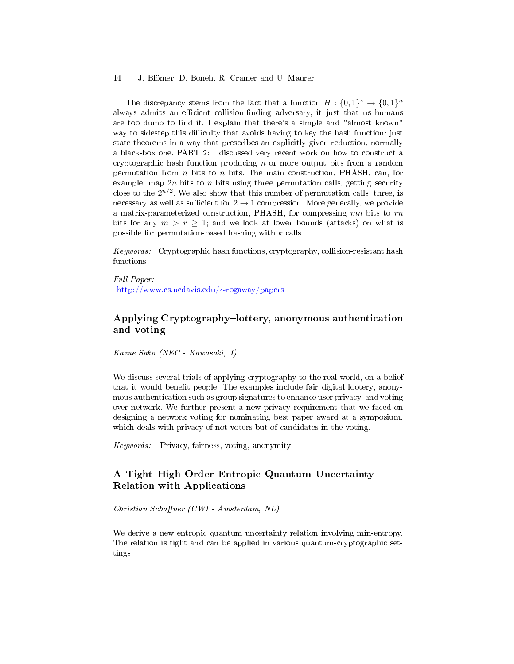The discrepancy stems from the fact that a function  $H: \{0,1\}^* \to \{0,1\}^n$ always admits an efficient collision-finding adversary, it just that us humans are too dumb to find it. I explain that there's a simple and "almost known" way to sidestep this difficulty that avoids having to key the hash function: just state theorems in a way that prescribes an explicitly given reduction, normally a black-box one. PART 2: I discussed very recent work on how to construct a cryptographic hash function producing  $n$  or more output bits from a random permutation from  $n$  bits to  $n$  bits. The main construction, PHASH, can, for example, map  $2n$  bits to n bits using three permutation calls, getting security close to the  $2^{n/2}$ . We also show that this number of permutation calls, three, is necessary as well as sufficient for  $2 \rightarrow 1$  compression. More generally, we provide a matrix-parameterized construction, PHASH, for compressing  $mn$  bits to  $rn$ bits for any  $m > r > 1$ ; and we look at lower bounds (attacks) on what is possible for permutation-based hashing with k calls.

Keywords: Cryptographic hash functions, cryptography, collision-resistant hash functions

Full Paper: [http://www.cs.ucdavis.edu/](http://www.cs.ucdavis.edu/~rogaway/papers)∼rogaway/papers

# Applying Cryptography-lottery, anonymous authentication and voting

Kazue Sako (NEC - Kawasaki, J)

We discuss several trials of applying cryptography to the real world, on a belief that it would benefit people. The examples include fair digital lootery, anonymous authentication such as group signatures to enhance user privacy, and voting over network. We further present a new privacy requirement that we faced on designing a network voting for nominating best paper award at a symposium, which deals with privacy of not voters but of candidates in the voting.

Keywords: Privacy, fairness, voting, anonymity

# A Tight High-Order Entropic Quantum Uncertainty Relation with Applications

 $Christian Schaffner (CWI - Amsterdam, NL)$ 

We derive a new entropic quantum uncertainty relation involving min-entropy. The relation is tight and can be applied in various quantum-cryptographic settings.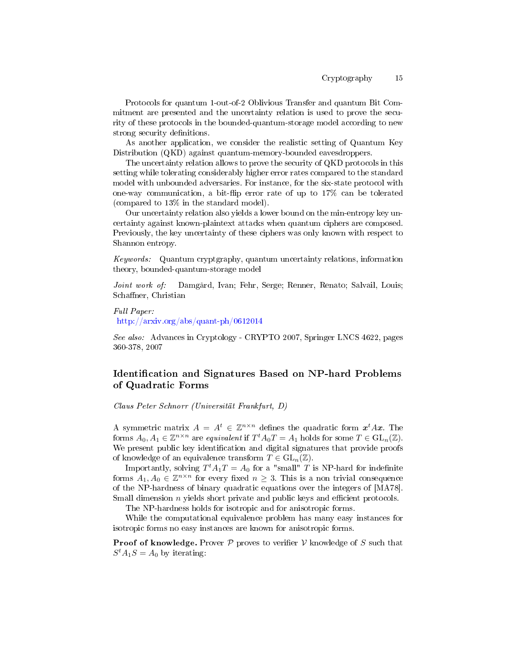Protocols for quantum 1-out-of-2 Oblivious Transfer and quantum Bit Commitment are presented and the uncertainty relation is used to prove the security of these protocols in the bounded-quantum-storage model according to new strong security definitions.

As another application, we consider the realistic setting of Quantum Key Distribution (QKD) against quantum-memory-bounded eavesdroppers.

The uncertainty relation allows to prove the security of QKD protocols in this setting while tolerating considerably higher error rates compared to the standard model with unbounded adversaries. For instance, for the six-state protocol with one-way communication, a bit-flip error rate of up to  $17\%$  can be tolerated (compared to 13% in the standard model).

Our uncertainty relation also yields a lower bound on the min-entropy key uncertainty against known-plaintext attacks when quantum ciphers are composed. Previously, the key uncertainty of these ciphers was only known with respect to Shannon entropy.

Keywords: Quantum cryptgraphy, quantum uncertainty relations, information theory, bounded-quantum-storage model

Joint work of: Damgård, Ivan; Fehr, Serge; Renner, Renato; Salvail, Louis; Schaffner, Christian

Full Paper:

<http://arxiv.org/abs/quant-ph/0612014>

See also: Advances in Cryptology - CRYPTO 2007, Springer LNCS 4622, pages 360-378, 2007

# Identification and Signatures Based on NP-hard Problems of Quadratic Forms

Claus Peter Schnorr (Universität Frankfurt, D)

A symmetric matrix  $A = A^t \in \mathbb{Z}^{n \times n}$  defines the quadratic form  $x^t A x$ . The forms  $A_0, A_1 \in \mathbb{Z}^{n \times n}$  are equivalent if  $T^t A_0 T = A_1$  holds for some  $T \in GL_n(\mathbb{Z})$ . We present public key identification and digital signatures that provide proofs of knowledge of an equivalence transform  $T \in GL_n(\mathbb{Z})$ .

Importantly, solving  $T^t A_1 T = A_0$  for a "small" T is NP-hard for indefinite forms  $A_1, A_0 \in \mathbb{Z}^{n \times n}$  for every fixed  $n \geq 3$ . This is a non trivial consequence of the NP-hardness of binary quadratic equations over the integers of [MA78]. Small dimension  $n$  yields short private and public keys and efficient protocols.

The NP-hardness holds for isotropic and for anisotropic forms.

While the computational equivalence problem has many easy instances for isotropic forms no easy instances are known for anisotropic forms.

**Proof of knowledge.** Prover  $P$  proves to verifier  $V$  knowledge of  $S$  such that  $S^t A_1 S = A_0$  by iterating: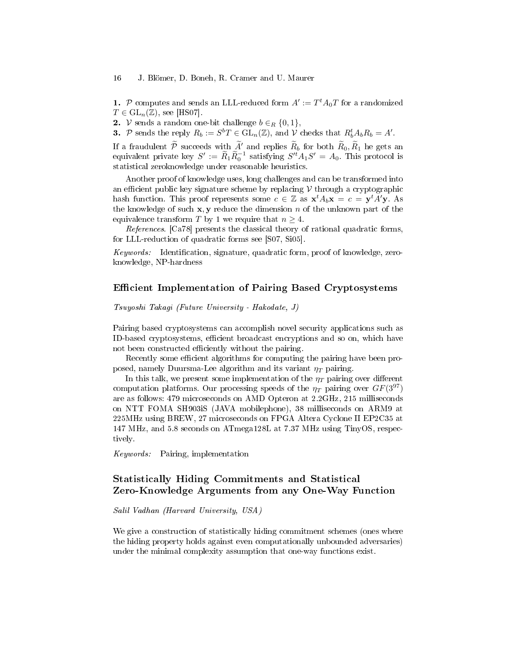1. P computes and sends an LLL-reduced form  $A' := T^t A_0 T$  for a randomized  $T \in GL_n(\mathbb{Z})$ , see [HS07].

2. *V* sends a random one-bit challenge  $b \in_R \{0,1\},\$ 

**3.** P sends the reply  $R_b := S^b T \in \mathrm{GL}_n(\mathbb{Z})$ , and  $\mathcal{V}$  checks that  $R_b^t A_b R_b = A'$ .

If a fraudulent  $\tilde{P}$  succeeds with  $\tilde{A}'$  and replies  $\tilde{R}_b$  for both  $\tilde{R}_0$ ,  $\tilde{R}_1$  he gets and equivalent private key  $S' := \tilde{R}_1 \tilde{R}_0^{-1}$  satisfying  $S'^t A_1 S' = A_0$ . This protocol is statistical zeroknowledge under reasonable heuristics.

Another proof of knowledge uses, long challenges and can be transformed into an efficient public key signature scheme by replacing  $V$  through a cryptographic hash function. This proof represents some  $c \in \mathbb{Z}$  as  $\mathbf{x}^t A_b \mathbf{x} = c = \mathbf{y}^t A' \mathbf{y}$ . As the knowledge of such  $x, y$  reduce the dimension n of the unknown part of the equivalence transform T by 1 we require that  $n \geq 4$ .

References. [Ca78] presents the classical theory of rational quadratic forms, for LLL-reduction of quadratic forms see [S07, Si05].

Keywords: Identification, signature, quadratic form, proof of knowledge, zeroknowledge, NP-hardness

### Efficient Implementation of Pairing Based Cryptosystems

Tsuyoshi Takagi (Future University - Hakodate, J)

Pairing based cryptosystems can accomplish novel security applications such as ID-based cryptosystems, efficient broadcast encryptions and so on, which have not been constructed efficiently without the pairing.

Recently some efficient algorithms for computing the pairing have been proposed, namely Duursma-Lee algorithm and its variant  $\eta_T$  pairing.

In this talk, we present some implementation of the  $\eta_T$  pairing over different computation platforms. Our processing speeds of the  $\eta_T$  pairing over  $GF(3^{97})$ are as follows: 479 microseconds on AMD Opteron at 2.2GHz, 215 milliseconds on NTT FOMA SH903iS (JAVA mobilephone), 38 milliseconds on ARM9 at 225MHz using BREW, 27 microseconds on FPGA Altera Cyclone II EP2C35 at 147 MHz, and 5.8 seconds on ATmega128L at 7.37 MHz using TinyOS, respectively.

Keywords: Pairing, implementation

# Statistically Hiding Commitments and Statistical Zero-Knowledge Arguments from any One-Way Function

#### Salil Vadhan (Harvard University, USA)

We give a construction of statistically hiding commitment schemes (ones where the hiding property holds against even computationally unbounded adversaries) under the minimal complexity assumption that one-way functions exist.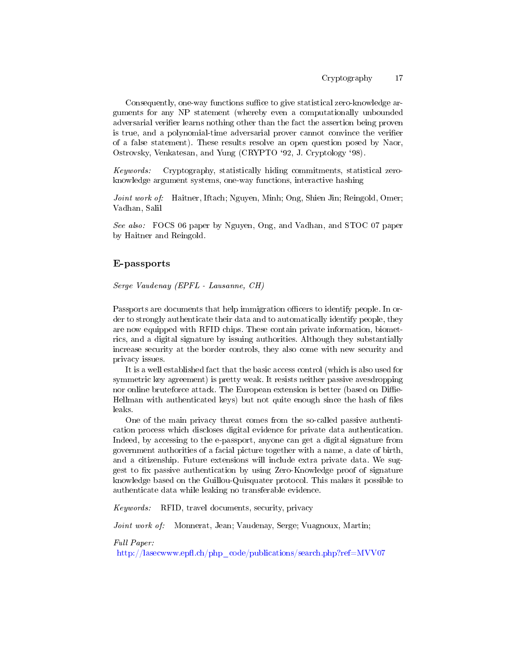Consequently, one-way functions suffice to give statistical zero-knowledge arguments for any NP statement (whereby even a computationally unbounded adversarial verifier learns nothing other than the fact the assertion being proven is true, and a polynomial-time adversarial prover cannot convince the verifier of a false statement). These results resolve an open question posed by Naor, Ostrovsky, Venkatesan, and Yung (CRYPTO `92, J. Cryptology `98).

Keywords: Cryptography, statistically hiding commitments, statistical zeroknowledge argument systems, one-way functions, interactive hashing

Joint work of: Haitner, Iftach; Nguyen, Minh; Ong, Shien Jin; Reingold, Omer; Vadhan, Salil

See also: FOCS 06 paper by Nguyen, Ong, and Vadhan, and STOC 07 paper by Haitner and Reingold.

### E-passports

Serge Vaudenay (EPFL - Lausanne, CH)

Passports are documents that help immigration officers to identify people. In order to strongly authenticate their data and to automatically identify people, they are now equipped with RFID chips. These contain private information, biometrics, and a digital signature by issuing authorities. Although they substantially increase security at the border controls, they also come with new security and privacy issues.

It is a well established fact that the basic access control (which is also used for symmetric key agreement) is pretty weak. It resists neither passive avesdropping nor online bruteforce attack. The European extension is better (based on Diffie-Hellman with authenticated keys) but not quite enough since the hash of files leaks.

One of the main privacy threat comes from the so-called passive authentication process which discloses digital evidence for private data authentication. Indeed, by accessing to the e-passport, anyone can get a digital signature from government authorities of a facial picture together with a name, a date of birth, and a citizenship. Future extensions will include extra private data. We suggest to fix passive authentication by using Zero-Knowledge proof of signature knowledge based on the Guillou-Quisquater protocol. This makes it possible to authenticate data while leaking no transferable evidence.

Keywords: RFID, travel documents, security, privacy

Joint work of: Monnerat, Jean; Vaudenay, Serge; Vuagnoux, Martin;

Full Paper:

http://lasecwww.epfl.ch/php\_code/publications/search.php?ref=MVV07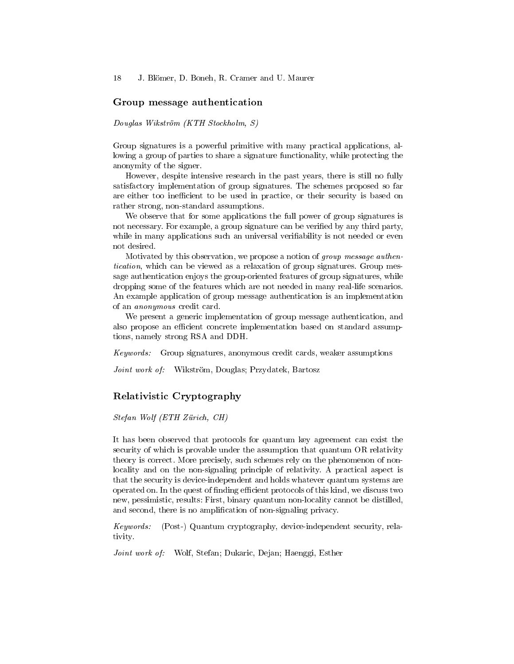#### Group message authentication

Douglas Wikström (KTH Stockholm, S)

Group signatures is a powerful primitive with many practical applications, allowing a group of parties to share a signature functionality, while protecting the anonymity of the signer.

However, despite intensive research in the past years, there is still no fully satisfactory implementation of group signatures. The schemes proposed so far are either too inefficient to be used in practice, or their security is based on rather strong, non-standard assumptions.

We observe that for some applications the full power of group signatures is not necessary. For example, a group signature can be verified by any third party, while in many applications such an universal verifiability is not needed or even not desired.

Motivated by this observation, we propose a notion of group message authentication, which can be viewed as a relaxation of group signatures. Group message authentication enjoys the group-oriented features of group signatures, while dropping some of the features which are not needed in many real-life scenarios. An example application of group message authentication is an implementation of an anonymous credit card.

We present a generic implementation of group message authentication, and also propose an efficient concrete implementation based on standard assumptions, namely strong RSA and DDH.

Keywords: Group signatures, anonymous credit cards, weaker assumptions

Joint work of: Wikström, Douglas; Przydatek, Bartosz

### Relativistic Cryptography

Stefan Wolf (ETH Zürich, CH)

It has been observed that protocols for quantum key agreement can exist the security of which is provable under the assumption that quantum OR relativity theory is correct. More precisely, such schemes rely on the phenomenon of nonlocality and on the non-signaling principle of relativity. A practical aspect is that the security is device-independent and holds whatever quantum systems are operated on. In the quest of finding efficient protocols of this kind, we discuss two new, pessimistic, results: First, binary quantum non-locality cannot be distilled, and second, there is no amplification of non-signaling privacy.

Keywords: (Post-) Quantum cryptography, device-independent security, relativity.

Joint work of: Wolf, Stefan; Dukaric, Dejan; Haenggi, Esther